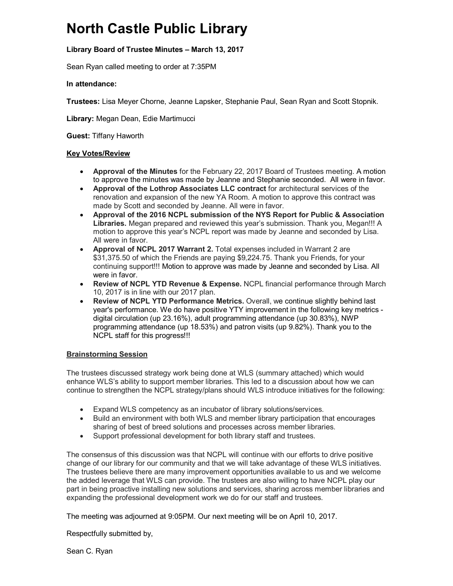# **North Castle Public Library**

## **Library Board of Trustee Minutes – March 13, 2017**

Sean Ryan called meeting to order at 7:35PM

#### **In attendance:**

**Trustees:** Lisa Meyer Chorne, Jeanne Lapsker, Stephanie Paul, Sean Ryan and Scott Stopnik.

**Library:** Megan Dean, Edie Martimucci

**Guest:** Tiffany Haworth

#### **Key Votes/Review**

- **Approval of the Minutes** for the February 22, 2017 Board of Trustees meeting. A motion to approve the minutes was made by Jeanne and Stephanie seconded.All were in favor.
- **Approval of the Lothrop Associates LLC contract** for architectural services of the renovation and expansion of the new YA Room. A motion to approve this contract was made by Scott and seconded by Jeanne. All were in favor.
- **Approval of the 2016 NCPL submission of the NYS Report for Public & Association Libraries.** Megan prepared and reviewed this year's submission. Thank you, Megan!!! A motion to approve this year's NCPL report was made by Jeanne and seconded by Lisa. All were in favor.
- **Approval of NCPL 2017 Warrant 2.** Total expenses included in Warrant 2 are \$31,375.50 of which the Friends are paying \$9,224.75. Thank you Friends, for your continuing support!!! Motion to approve was made by Jeanne and seconded by Lisa. All were in favor.
- **Review of NCPL YTD Revenue & Expense.** NCPL financial performance through March 10, 2017 is in line with our 2017 plan.
- **Review of NCPL YTD Performance Metrics.** Overall, we continue slightly behind last year's performance. We do have positive YTY improvement in the following key metrics digital circulation (up 23.16%), adult programming attendance (up 30.83%), NWP programming attendance (up 18.53%) and patron visits (up 9.82%). Thank you to the NCPL staff for this progress!!!

### **Brainstorming Session**

The trustees discussed strategy work being done at WLS (summary attached) which would enhance WLS's ability to support member libraries. This led to a discussion about how we can continue to strengthen the NCPL strategy/plans should WLS introduce initiatives for the following:

- Expand WLS competency as an incubator of library solutions/services.
- Build an environment with both WLS and member library participation that encourages sharing of best of breed solutions and processes across member libraries.
- Support professional development for both library staff and trustees.

The consensus of this discussion was that NCPL will continue with our efforts to drive positive change of our library for our community and that we will take advantage of these WLS initiatives. The trustees believe there are many improvement opportunities available to us and we welcome the added leverage that WLS can provide. The trustees are also willing to have NCPL play our part in being proactive installing new solutions and services, sharing across member libraries and expanding the professional development work we do for our staff and trustees.

The meeting was adjourned at 9:05PM. Our next meeting will be on April 10, 2017.

Respectfully submitted by,

Sean C. Ryan